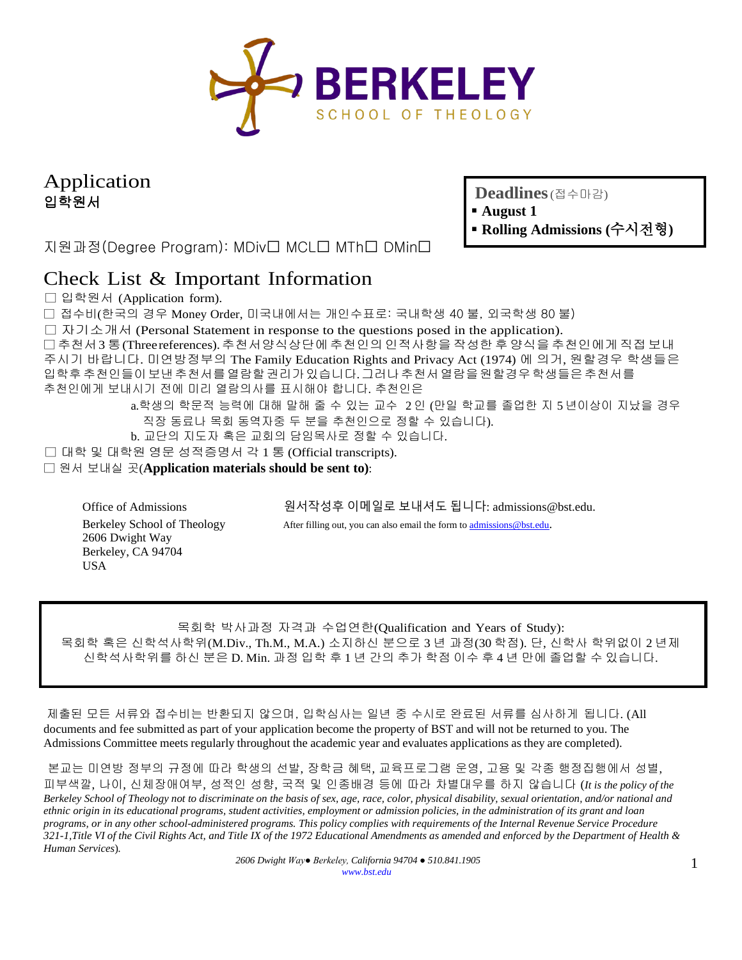

Application 입학원서

**Deadlines**(접수마감)

- **August 1**
- 지원과정(Degree Program): MDiv□ MCL□ MTh□ DMin□
- **Rolling Admissions (**수시전형**)**

# Check List & Important Information

□ 입학원서 (Application form).

□ 접수비(한국의 경우 Money Order, 미국내에서는 개인수표로: 국내학생 40 불, 외국학생 80 불)

□ 자기소개서 (Personal Statement in response to the questions posed in the application).

□ 추천서 3 통(Three references).추천서양식상단에 추천인의 인적사항을 작성한 후 양식을 추천인에게 직접 보내 주시기 바랍니다. 미연방정부의 The Family Education Rights and Privacy Act (1974) 에 의거, 원할경우 학생들은 입학후추천인들이보낸추천서를열람할권리가있습니다.그러나추천서열람을원할경우학생들은추천서를 추천인에게 보내시기 전에 미리 열람의사를 표시해야 합니다. 추천인은

> a.학생의 학문적 능력에 대해 말해 줄 수 있는 교수 2 인 (만일 학교를 졸업한 지 5 년이상이 지났을 경우 직장 동료나 목회 동역자중 두 분을 추천인으로 정할 수 있습니다).

b. 교단의 지도자 혹은 교회의 담임목사로 정할 수 있습니다.

□ 대학 및 대학원 영문 성적증명서 각 1 통 (Official transcripts).

□ 원서 보내실 곳(**Application materials should be sent to)**:

Office of Admissions 원서작성후 이메일로 보내셔도 됩니다: admissions@bst.edu.

Berkeley School of Theology After filling out, you can also email the form t[o admissions@bst.edu.](mailto:admissions@bst.edu)

2606 Dwight Way Berkeley, CA 94704 USA

목회학 박사과정 자격과 수업연한(Qualification and Years of Study): 목회학 혹은 신학석사학위(M.Div., Th.M., M.A.) 소지하신 분으로 3 년 과정(30 학점). 단, 신학사 학위없이 2 년제 신학석사학위를 하신 분은 D. Min. 과정 입학 후 1 년 간의 추가 학점 이수 후 4 년 만에 졸업할 수 있습니다.

제출된 모든 서류와 접수비는 반환되지 않으며, 입학심사는 일년 중 수시로 완료된 서류를 심사하게 됩니다. (All documents and fee submitted as part of your application become the property of BST and will not be returned to you. The Admissions Committee meets regularly throughout the academic year and evaluates applications as they are completed).

본교는 미연방 정부의 규정에 따라 학생의 선발, 장학금 혜택, 교육프로그램 운영, 고용 및 각종 행정집행에서 성별, 피부색깔, 나이, 신체장애여부, 성적인 성향, 국적 및 인종배경 등에 따라 차별대우를 하지 않습니다 (*It is the policy of the Berkeley School of Theology not to discriminate on the basis of sex, age, race, color, physical disability, sexual orientation, and/or national and ethnic origin in its educational programs, student activities, employment or admission policies, in the administration of its grant and loan programs, or in any other school-administered programs. This policy complies with requirements of the Internal Revenue Service Procedure* 321-1, Title VI of the Civil Rights Act, and Title IX of the 1972 Educational Amendments as amended and enforced by the Department of Health & *Human Services*)*.*

*2606 Dwight Way● Berkeley, California 94704 ● 510.841.1905 [www.bst.edu](http://www.bst.edu/)*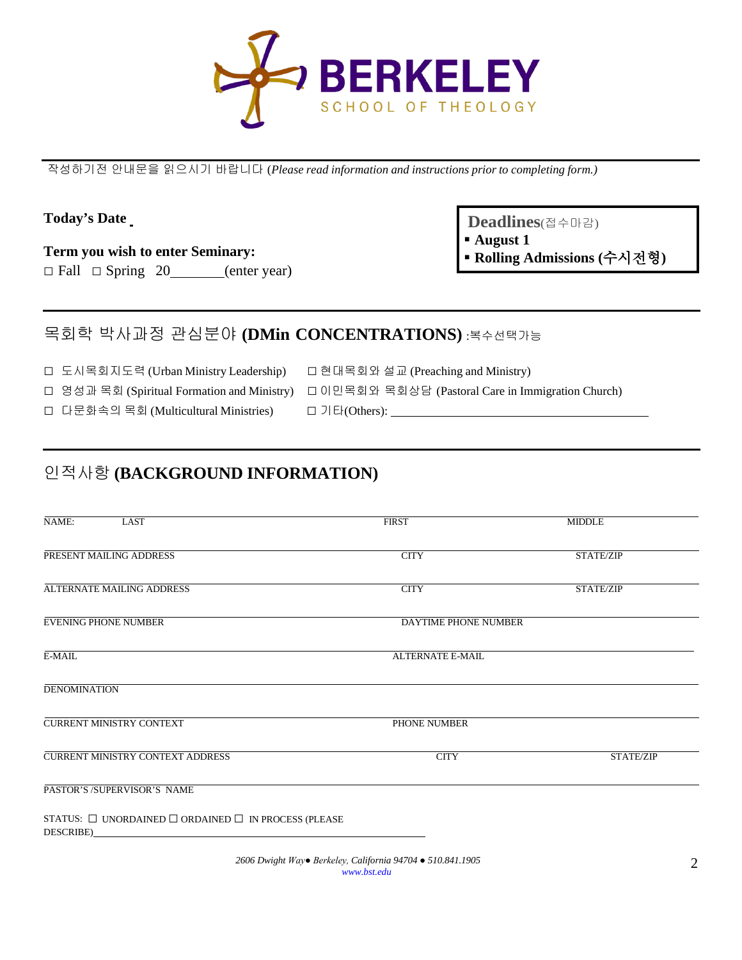

작성하기전 안내문을 읽으시기 바랍니다 (*Please read information and instructions prior to completing form.)*

#### **Today's Date**

**Term you wish to enter Seminary:**

 $\Box$  Fall  $\Box$  Spring 20 (enter year)

**Deadlines**(접수마감)

- **August 1**
- **Rolling Admissions (**수시전형**)**

### 목회학 박사과정 관심분야 **(DMin CONCENTRATIONS)** :복수선택가능

□ 도시목회지도력 (Urban Ministry Leadership) □ 현대목회와 설교 (Preaching and Ministry)

□ 영성과 목회 (Spiritual Formation and Ministry) □ 이민목회와 목회상담 (Pastoral Care in Immigration Church)

□ 다문화속의 목회 (Multicultural Ministries) □ 기타(Others):

### 인적사항 **(BACKGROUND INFORMATION)**

| NAME:<br><b>LAST</b>                                                             | <b>FIRST</b>         | <b>MIDDLE</b> |
|----------------------------------------------------------------------------------|----------------------|---------------|
| PRESENT MAILING ADDRESS                                                          | <b>CITY</b>          | STATE/ZIP     |
| ALTERNATE MAILING ADDRESS                                                        | <b>CITY</b>          | STATE/ZIP     |
| <b>EVENING PHONE NUMBER</b>                                                      | DAYTIME PHONE NUMBER |               |
| $E-MAIL$                                                                         | ALTERNATE E-MAIL     |               |
| <b>DENOMINATION</b>                                                              |                      |               |
| <b>CURRENT MINISTRY CONTEXT</b>                                                  | PHONE NUMBER         |               |
| <b>CURRENT MINISTRY CONTEXT ADDRESS</b>                                          | <b>CITY</b>          | STATE/ZIP     |
| PASTOR'S /SUPERVISOR'S NAME                                                      |                      |               |
| STATUS: $\Box$ UNORDAINED $\Box$ ORDAINED $\Box$ IN PROCESS (PLEASE<br>DESCRIBE) |                      |               |

*2606 Dwight Way● Berkeley, California 94704 ● 510.841.1905 [www.bst.edu](http://www.bst.edu/)*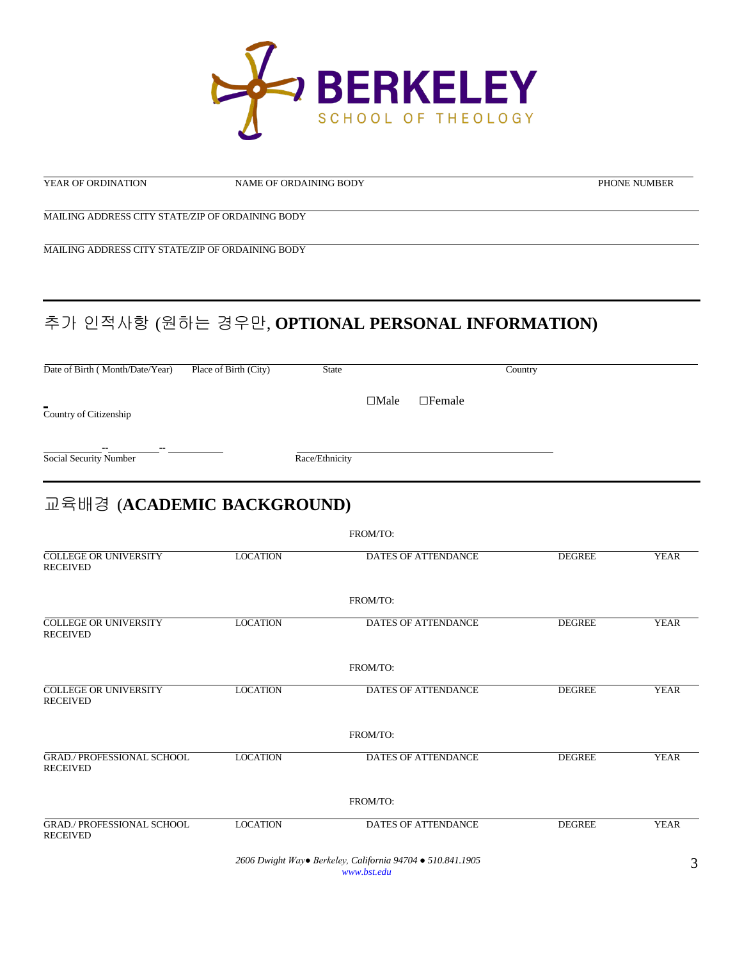

NAME OF ORDAINING BODY PHONE NUMBER

MAILING ADDRESS CITY STATE/ZIP OF ORDAINING BODY

MAILING ADDRESS CITY STATE/ZIP OF ORDAINING BODY

# 추가 인적사항 (원하는 경우만, **OPTIONAL PERSONAL INFORMATION)**

Date of Birth ( Month/Date/Year) Place of Birth (City) State Country

**□**Male □Female

Country of Citizenship

**-- --** Social Security Number Race/Ethnicity

# 교육배경 (**ACADEMIC BACKGROUND)**

|                                                      |                 | FROM/TO:                                                                  |               |             |
|------------------------------------------------------|-----------------|---------------------------------------------------------------------------|---------------|-------------|
| <b>COLLEGE OR UNIVERSITY</b><br><b>RECEIVED</b>      | <b>LOCATION</b> | <b>DATES OF ATTENDANCE</b>                                                | <b>DEGREE</b> | <b>YEAR</b> |
|                                                      |                 | FROM/TO:                                                                  |               |             |
| <b>COLLEGE OR UNIVERSITY</b><br><b>RECEIVED</b>      | <b>LOCATION</b> | <b>DATES OF ATTENDANCE</b>                                                | <b>DEGREE</b> | <b>YEAR</b> |
|                                                      |                 | FROM/TO:                                                                  |               |             |
| <b>COLLEGE OR UNIVERSITY</b><br><b>RECEIVED</b>      | <b>LOCATION</b> | <b>DATES OF ATTENDANCE</b>                                                | <b>DEGREE</b> | <b>YEAR</b> |
|                                                      |                 | FROM/TO:                                                                  |               |             |
| <b>GRAD./ PROFESSIONAL SCHOOL</b><br><b>RECEIVED</b> | <b>LOCATION</b> | DATES OF ATTENDANCE                                                       | <b>DEGREE</b> | <b>YEAR</b> |
|                                                      |                 | FROM/TO:                                                                  |               |             |
| <b>GRAD./ PROFESSIONAL SCHOOL</b><br><b>RECEIVED</b> | <b>LOCATION</b> | <b>DATES OF ATTENDANCE</b>                                                | <b>DEGREE</b> | <b>YEAR</b> |
|                                                      |                 | 2606 Dwight Way• Berkeley, California 94704 • 510.841.1905<br>www.bst.edu |               | 3           |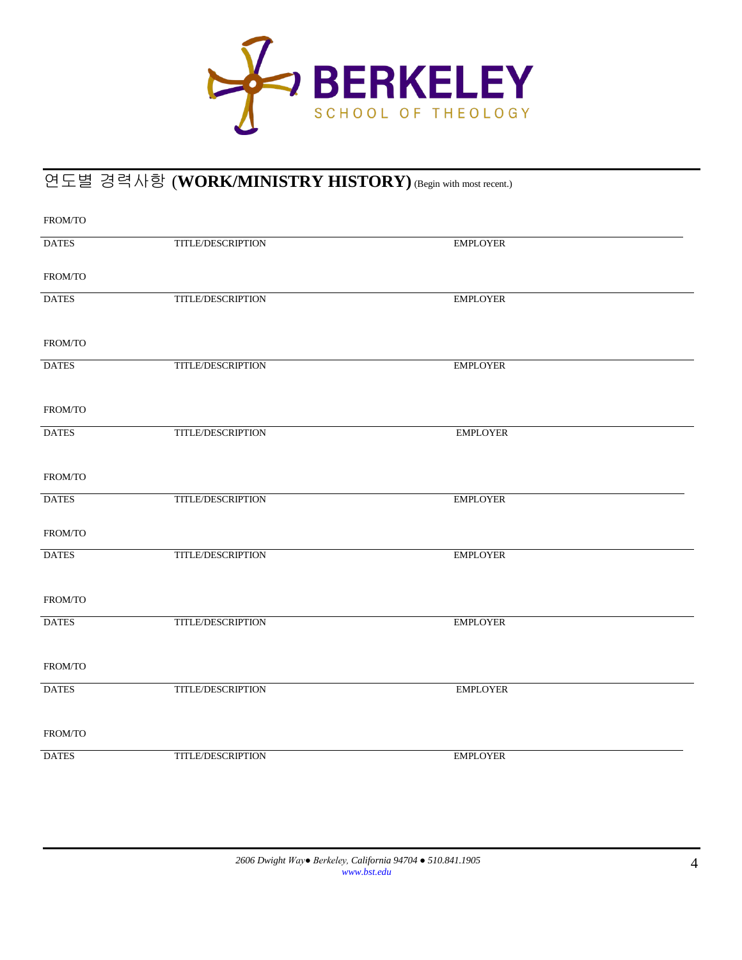

## 연도별 경력사항 (**WORK/MINISTRY HISTORY)**(Begin with most recent.)

| FROM/TO      |                   |                 |
|--------------|-------------------|-----------------|
| <b>DATES</b> | TITLE/DESCRIPTION | <b>EMPLOYER</b> |
| FROM/TO      |                   |                 |
| <b>DATES</b> | TITLE/DESCRIPTION | <b>EMPLOYER</b> |
| FROM/TO      |                   |                 |
| <b>DATES</b> | TITLE/DESCRIPTION | <b>EMPLOYER</b> |
| FROM/TO      |                   |                 |
| <b>DATES</b> | TITLE/DESCRIPTION | <b>EMPLOYER</b> |
| FROM/TO      |                   |                 |
| <b>DATES</b> | TITLE/DESCRIPTION | <b>EMPLOYER</b> |
| FROM/TO      |                   |                 |
| <b>DATES</b> | TITLE/DESCRIPTION | <b>EMPLOYER</b> |
| FROM/TO      |                   |                 |
| <b>DATES</b> | TITLE/DESCRIPTION | <b>EMPLOYER</b> |
| FROM/TO      |                   |                 |
| <b>DATES</b> | TITLE/DESCRIPTION | <b>EMPLOYER</b> |
| FROM/TO      |                   |                 |
| <b>DATES</b> | TITLE/DESCRIPTION | <b>EMPLOYER</b> |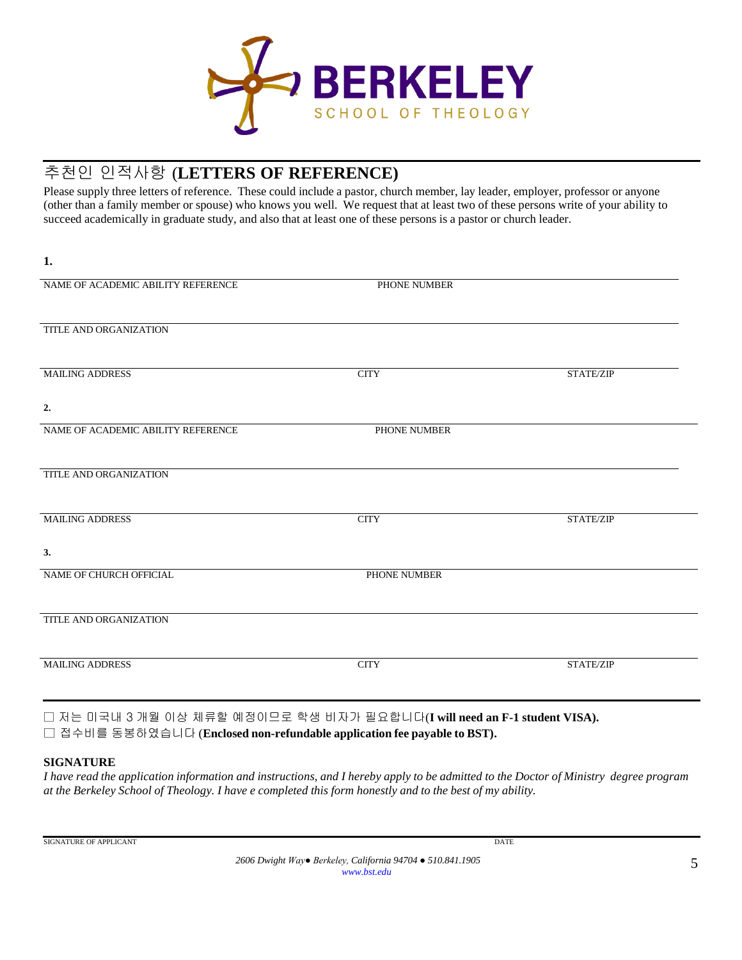

### 추천인 인적사항 (**LETTERS OF REFERENCE)**

Please supply three letters of reference. These could include a pastor, church member, lay leader, employer, professor or anyone (other than a family member or spouse) who knows you well. We request that at least two of these persons write of your ability to succeed academically in graduate study, and also that at least one of these persons is a pastor or church leader.

| PHONE NUMBER |           |
|--------------|-----------|
|              |           |
| <b>CITY</b>  | STATE/ZIP |
|              |           |
| PHONE NUMBER |           |
|              |           |
| <b>CITY</b>  | STATE/ZIP |
|              |           |
| PHONE NUMBER |           |
|              |           |
| <b>CITY</b>  | STATE/ZIP |
|              |           |

□ 저는 미국내 3 개월 이상 체류할 예정이므로 학생 비자가 필요합니다(**I will need an F-1 student VISA).** □ 접수비를 동봉하였습니다 (**Enclosed non-refundable application fee payable to BST).**

#### **SIGNATURE**

**1.**

I have read the application information and instructions, and I hereby apply to be admitted to the Doctor of Ministry degree program at the Berkeley School of Theology. I have e completed this form honestly and to the best of my ability.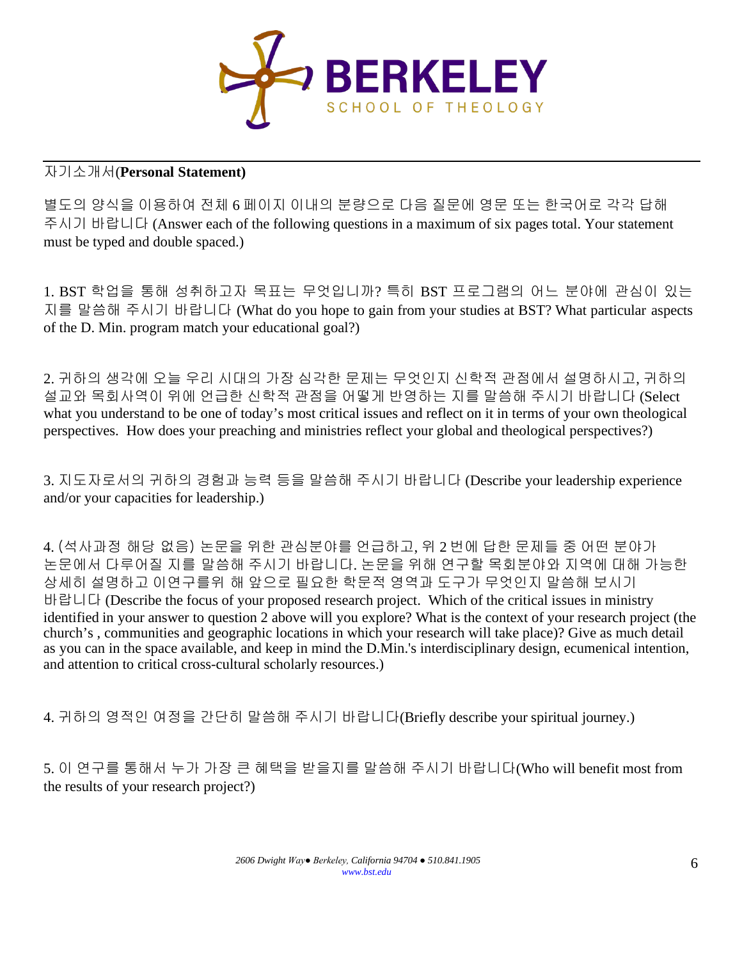

#### 자기소개서(**Personal Statement)**

별도의 양식을 이용하여 전체 6 페이지 이내의 분량으로 다음 질문에 영문 또는 한국어로 각각 답해 주시기 바랍니다 (Answer each of the following questions in a maximum of six pages total. Your statement must be typed and double spaced.)

1. BST 학업을 통해 성취하고자 목표는 무엇입니까? 특히 BST 프로그램의 어느 분야에 관심이 있는 지를 말씀해 주시기 바랍니다 (What do you hope to gain from your studies at BST? What particular aspects of the D. Min. program match your educational goal?)

2. 귀하의 생각에 오늘 우리 시대의 가장 심각한 문제는 무엇인지 신학적 관점에서 설명하시고, 귀하의 설교와 목회사역이 위에 언급한 신학적 관점을 어떻게 반영하는 지를 말씀해 주시기 바랍니다 (Select what you understand to be one of today's most critical issues and reflect on it in terms of your own theological perspectives. How does your preaching and ministries reflect your global and theological perspectives?)

3. 지도자로서의 귀하의 경험과 능력 등을 말씀해 주시기 바랍니다 (Describe your leadership experience and/or your capacities for leadership.)

4. (석사과정 해당 없음) 논문을 위한 관심분야를 언급하고, 위 2 번에 답한 문제들 중 어떤 분야가 논문에서 다루어질 지를 말씀해 주시기 바랍니다. 논문을 위해 연구할 목회분야와 지역에 대해 가능한 상세히 설명하고 이연구를위 해 앞으로 필요한 학문적 영역과 도구가 무엇인지 말씀해 보시기 바랍니다 (Describe the focus of your proposed research project. Which of the critical issues in ministry identified in your answer to question 2 above will you explore? What is the context of your research project (the church's , communities and geographic locations in which your research will take place)? Give as much detail as you can in the space available, and keep in mind the D.Min.'s interdisciplinary design, ecumenical intention, and attention to critical cross-cultural scholarly resources.)

4. 귀하의 영적인 여정을 간단히 말씀해 주시기 바랍니다(Briefly describe your spiritual journey.)

5. 이 연구를 통해서 누가 가장 큰 혜택을 받을지를 말씀해 주시기 바랍니다(Who will benefit most from the results of your research project?)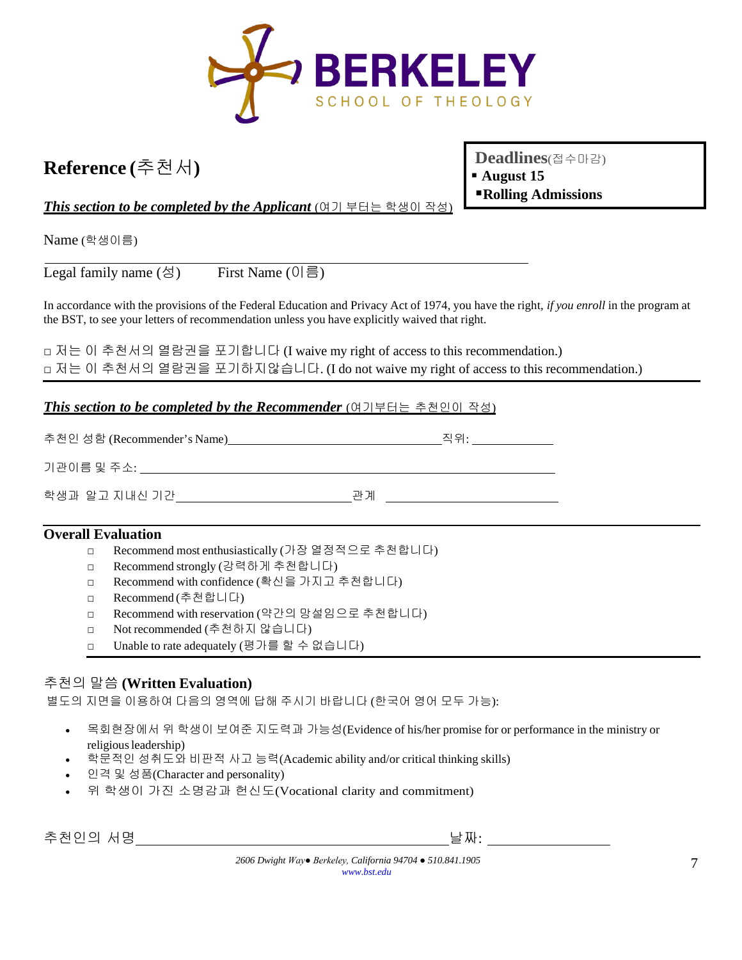

# **Reference (**추천서**)**

**Deadlines**(접수마감) **August 15 Rolling Admissions**

*This section to be completed by the Applicant* (여기 부터는 학생이 작성)

Name (학생이름)

Legal family name (성) First Name (이름)

In accordance with the provisions of the Federal Education and Privacy Act of 1974, you have the right, *if you enroll* in the program at the BST, to see your letters of recommendation unless you have explicitly waived that right.

□ 저는 이 추천서의 열람권을 포기합니다 (I waive my right of access to this recommendation.) □ 저는 이 추천서의 열람권을 포기하지않습니다. (I do not waive my right of access to this recommendation.)

#### *This section to be completed by the Recommender* (여기부터는 추천인이 작성)

| 추천인 성함 (Recommender's Name) | 직위· |
|-----------------------------|-----|
| 기관이름 및 주소:                  |     |

학생과 알고 지내신 기간 관계

#### **Overall Evaluation**

- □ Recommend most enthusiastically (가장 열정적으로 추천합니다)
- □ Recommend strongly (강력하게 추천합니다)
- □ Recommend with confidence (확신을 가지고 추천합니다)
- □ Recommend (추천합니다)
- □ Recommend with reservation (약간의 망설임으로 추천합니다)
- □ Not recommended (추천하지 않습니다)
- □ Unable to rate adequately (평가를 할 수 없습니다)

#### 추천의 말씀 **(Written Evaluation)**

별도의 지면을 이용하여 다음의 영역에 답해 주시기 바랍니다 (한국어 영어 모두 가능):

- 목회현장에서 위 학생이 보여준 지도력과 가능성(Evidence of his/her promise for or performance in the ministry or religious leadership)
- 학문적인 성취도와 비판적 사고 능력(Academic ability and/or critical thinking skills)
- 인격 및 성품(Character and personality)
- 위 학생이 가진 소명감과 헌신도(Vocational clarity and commitment)

추천인의 서명 날짜: